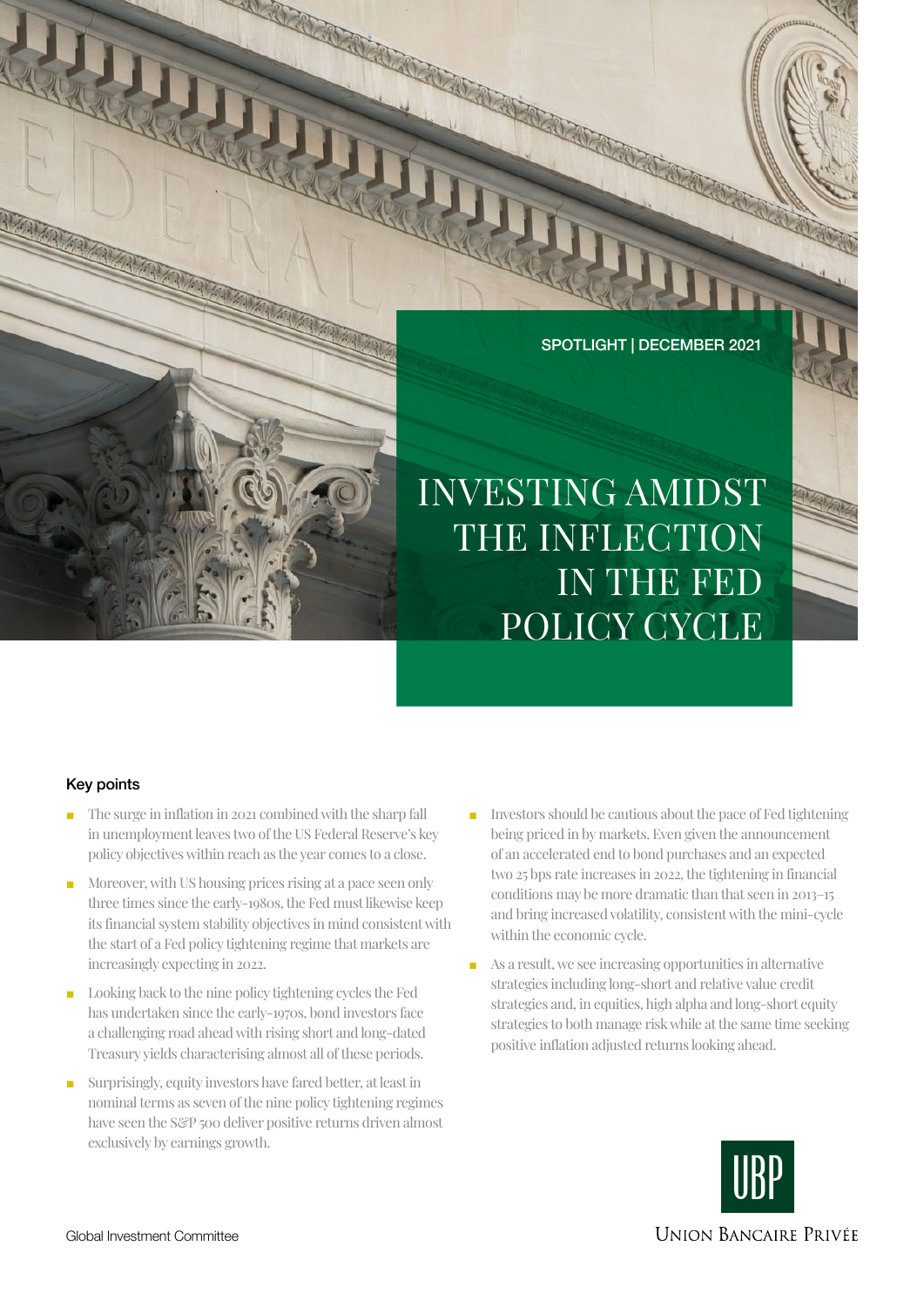

INVESTING AMIDST THE INFLECTION IN THE FED POLICY CYCLE

# Key points

- The surge in inflation in 2021 combined with the sharp fall in unemployment leaves two of the US Federal Reserve's key policy objectives within reach as the year comes to a close.
- Moreover, with US housing prices rising at a pace seen only three times since the early-1980s, the Fed must likewise keep its financial system stability objectives in mind consistent with the start of a Fed policy tightening regime that markets are increasingly expecting in 2022.
- Looking back to the nine policy tightening cycles the Fed has undertaken since the early-1970s, bond investors face a challenging road ahead with rising short and long-dated Treasury yields characterising almost all of these periods.
- Surprisingly, equity investors have fared better, at least in nominal terms as seven of the nine policy tightening regimes have seen the S&P 500 deliver positive returns driven almost exclusively by earnings growth.
- Investors should be cautious about the pace of Fed tightening being priced in by markets. Even given the announcement of an accelerated end to bond purchases and an expected two 25 bps rate increases in 2022, the tightening in financial conditions may be more dramatic than that seen in 2013–15 and bring increased volatility, consistent with the mini-cycle within the economic cycle.  $\begin{tabular}{llllll} \text{affation in 2021} combined with the sharp fall \\\\[ .0cm] \text{In each example, the result of the data is the same number of data.} \end{tabular} \begin{tabular}{llllllll} \text{In the case, the total number of data is the same number of data.} \end{tabular} \begin{tabular}{lllllllllll} \text{In the case, the total number of data is the same number of data.} \end{tabular} \begin{tabular}{lllllllllll} \text{In the case, the total number of data is the same number of data.} \end{tabular} \begin{tabular}{lllllllllll} \text{In the case, the total number of data is the same number of data.} \end{tabular} \begin{tabular}{$ 
	- As a result, we see increasing opportunities in alternative strategies including long-short and relative value credit strategies and, in equities, high alpha and long-short equity strategies to both manage risk while at the same time seeking positive inflation adjusted returns looking ahead.



**UNION BANCAIRE PRIVÉE**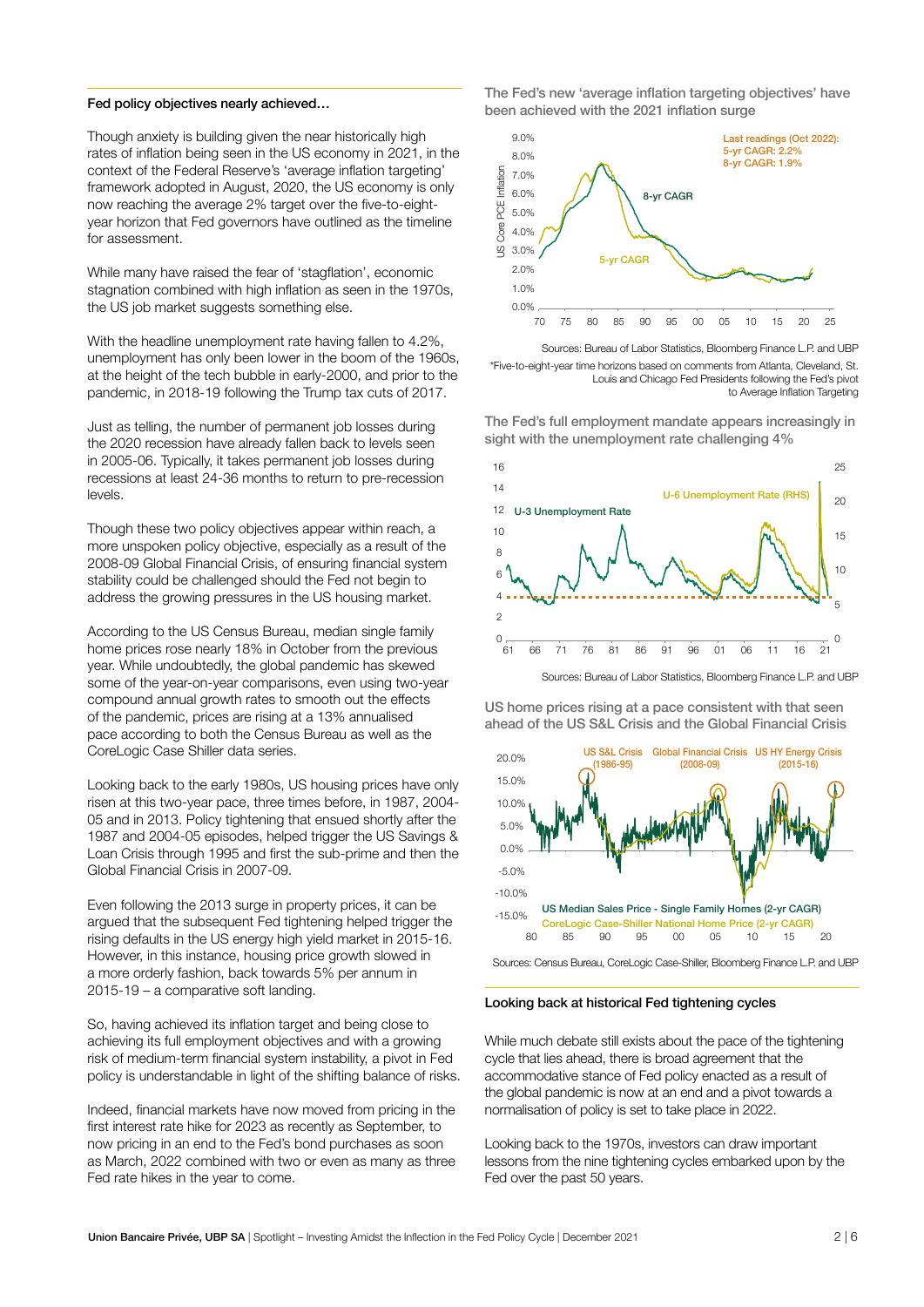#### Fed policy objectives nearly achieved…

Though anxiety is building given the near historically high rates of inflation being seen in the US economy in 2021, in the context of the Federal Reserve's 'average inflation targeting' framework adopted in August, 2020, the US economy is only now reaching the average 2% target over the five-to-eightyear horizon that Fed governors have outlined as the timeline for assessment.

While many have raised the fear of 'stagflation', economic stagnation combined with high inflation as seen in the 1970s, the US job market suggests something else.

With the headline unemployment rate having fallen to 4.2%. unemployment has only been lower in the boom of the 1960s, at the height of the tech bubble in early-2000, and prior to the pandemic, in 2018-19 following the Trump tax cuts of 2017.

Just as telling, the number of permanent job losses during the 2020 recession have already fallen back to levels seen in 2005-06. Typically, it takes permanent job losses during recessions at least 24-36 months to return to pre-recession levels.

Though these two policy objectives appear within reach, a more unspoken policy objective, especially as a result of the 2008-09 Global Financial Crisis, of ensuring financial system stability could be challenged should the Fed not begin to address the growing pressures in the US housing market.

According to the US Census Bureau, median single family home prices rose nearly 18% in October from the previous year. While undoubtedly, the global pandemic has skewed some of the year-on-year comparisons, even using two-year compound annual growth rates to smooth out the effects of the pandemic, prices are rising at a 13% annualised pace according to both the Census Bureau as well as the CoreLogic Case Shiller data series.

Looking back to the early 1980s, US housing prices have only risen at this two-year pace, three times before, in 1987, 2004- 05 and in 2013. Policy tightening that ensued shortly after the 1987 and 2004-05 episodes, helped trigger the US Savings & Loan Crisis through 1995 and first the sub-prime and then the Global Financial Crisis in 2007-09.

Even following the 2013 surge in property prices, it can be argued that the subsequent Fed tightening helped trigger the rising defaults in the US energy high yield market in 2015-16. However, in this instance, housing price growth slowed in a more orderly fashion, back towards 5% per annum in 2015-19 – a comparative soft landing.

So, having achieved its inflation target and being close to achieving its full employment objectives and with a growing risk of medium-term financial system instability, a pivot in Fed policy is understandable in light of the shifting balance of risks.

Indeed, financial markets have now moved from pricing in the first interest rate hike for 2023 as recently as September, to now pricing in an end to the Fed's bond purchases as soon as March, 2022 combined with two or even as many as three Fed rate hikes in the year to come.

The Fed's new 'average inflation targeting objectives' have been achieved with the 2021 inflation surge



Sources: Bureau of Labor Statistics, Bloomberg Finance L.P. and UBP \*Five-to-eight-year time horizons based on comments from Atlanta, Cleveland, St. Louis and Chicago Fed Presidents following the Fed's pivot to Average Inflation Targeting

The Fed's full employment mandate appears increasingly in sight with the unemployment rate challenging 4%



Sources: Bureau of Labor Statistics, Bloomberg Finance L.P. and UBP

US home prices rising at a pace consistent with that seen ahead of the US S&L Crisis and the Global Financial Crisis



Sources: Census Bureau, CoreLogic Case-Shiller, Bloomberg Finance L.P. and UBP

### Looking back at historical Fed tightening cycles

While much debate still exists about the pace of the tightening cycle that lies ahead, there is broad agreement that the accommodative stance of Fed policy enacted as a result of the global pandemic is now at an end and a pivot towards a normalisation of policy is set to take place in 2022.

Looking back to the 1970s, investors can draw important lessons from the nine tightening cycles embarked upon by the Fed over the past 50 years.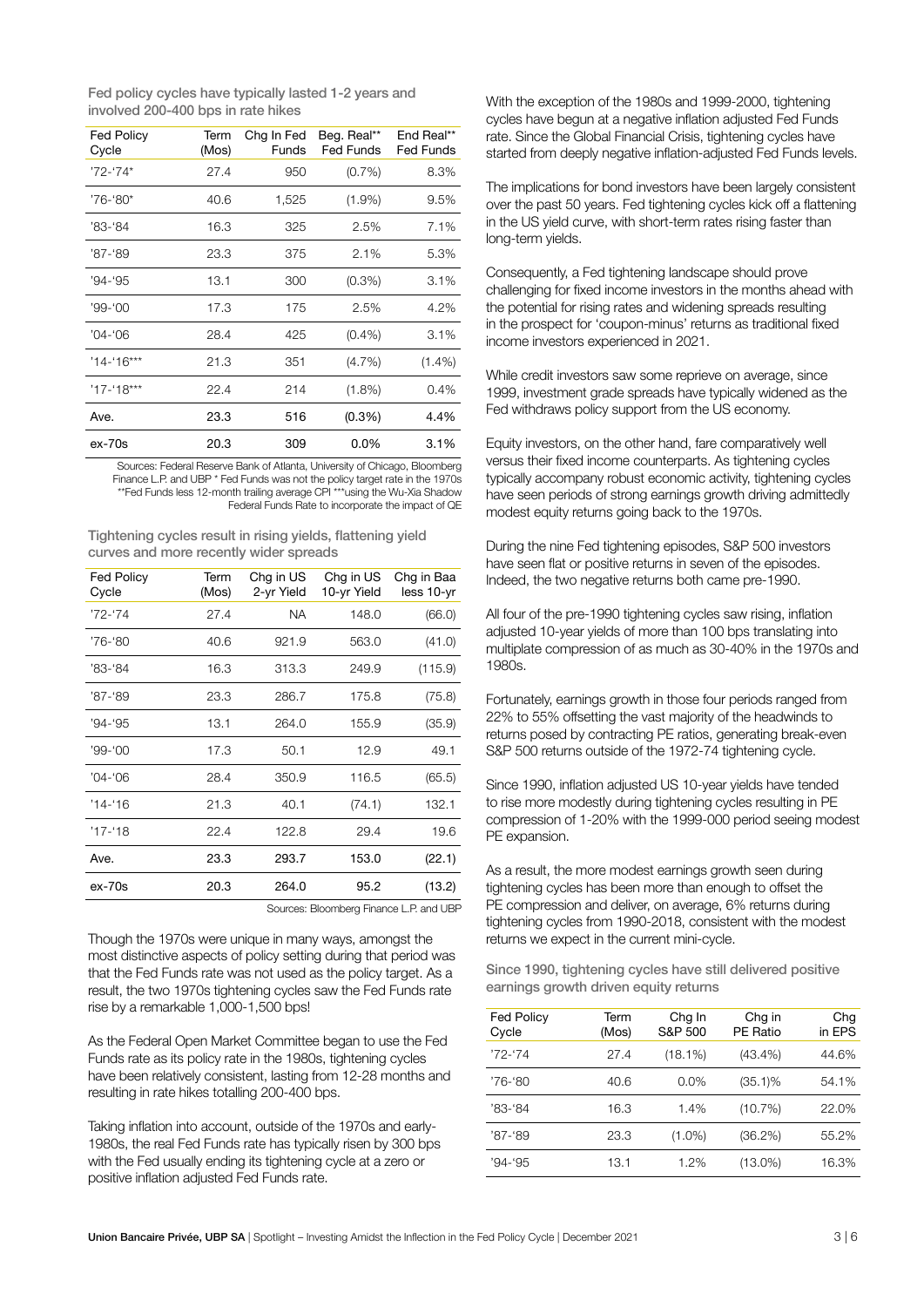Fed policy cycles have typically lasted 1-2 years and involved 200-400 bps in rate hikes

| <b>Fed Policy</b><br>Cycle | Term<br>(Mos) | Chg In Fed<br>Funds | Beg. Real**<br><b>Fed Funds</b> | End Real**<br><b>Fed Funds</b> |
|----------------------------|---------------|---------------------|---------------------------------|--------------------------------|
| $'72 - '74'$               | 27.4          | 950                 | $(0.7\%)$                       | 8.3%                           |
| '76-'80*                   | 40.6          | 1,525               | $(1.9\%)$                       | 9.5%                           |
| '83-'84                    | 16.3          | 325                 | 2.5%                            | 7.1%                           |
| '87-'89                    | 23.3          | 375                 | 2.1%                            | 5.3%                           |
| '94-'95                    | 13.1          | 300                 | $(0.3\%)$                       | 3.1%                           |
| $'99 - '00'$               | 17.3          | 175                 | 2.5%                            | 4.2%                           |
| '04-'06                    | 28.4          | 425                 | $(0.4\%)$                       | 3.1%                           |
| $14 - 16***$               | 21.3          | 351                 | $(4.7\%)$                       | $(1.4\%)$                      |
| $17 - 18***$               | 22.4          | 214                 | $(1.8\%)$                       | 0.4%                           |
| Ave.                       | 23.3          | 516                 | (0.3%)                          | 4.4%                           |
| ex-70s                     | 20.3          | 309                 | $0.0\%$                         | 3.1%                           |

Sources: Federal Reserve Bank of Atlanta, University of Chicago, Bloomberg Finance L.P. and UBP \* Fed Funds was not the policy target rate in the 1970s \*\*Fed Funds less 12-month trailing average CPI \*\*\*using the Wu-Xia Shadow Federal Funds Rate to incorporate the impact of QE

Tightening cycles result in rising yields, flattening yield curves and more recently wider spreads

| <b>Fed Policy</b><br>Cycle | Term<br>(Mos) | Chg in US<br>2-yr Yield | Chg in US<br>10-yr Yield | Chg in Baa<br>less 10-yr |
|----------------------------|---------------|-------------------------|--------------------------|--------------------------|
| '72-'74                    | 27.4          | <b>NA</b>               | 148.0                    | (66.0)                   |
| '76-'80                    | 40.6          | 921.9                   | 563.0                    | (41.0)                   |
| '83-'84                    | 16.3          | 313.3                   | 249.9                    | (115.9)                  |
| '87-'89                    | 23.3          | 286.7                   | 175.8                    | (75.8)                   |
| $'94 - 95$                 | 13.1          | 264.0                   | 155.9                    | (35.9)                   |
| $'99 - '00$                | 17.3          | 50.1                    | 12.9                     | 49.1                     |
| $'04 - '06$                | 28.4          | 350.9                   | 116.5                    | (65.5)                   |
| $'14 - 16$                 | 21.3          | 40.1                    | (74.1)                   | 132.1                    |
| $'17 - 18$                 | 22.4          | 122.8                   | 29.4                     | 19.6                     |
| Ave.                       | 23.3          | 293.7                   | 153.0                    | (22.1)                   |
| ex-70s                     | 20.3          | 264.0                   | 95.2                     | (13.2)                   |

Sources: Bloomberg Finance L.P. and UBP

Though the 1970s were unique in many ways, amongst the most distinctive aspects of policy setting during that period was that the Fed Funds rate was not used as the policy target. As a result, the two 1970s tightening cycles saw the Fed Funds rate rise by a remarkable 1,000-1,500 bps!

As the Federal Open Market Committee began to use the Fed Funds rate as its policy rate in the 1980s, tightening cycles have been relatively consistent, lasting from 12-28 months and resulting in rate hikes totalling 200-400 bps.

Taking inflation into account, outside of the 1970s and early-1980s, the real Fed Funds rate has typically risen by 300 bps with the Fed usually ending its tightening cycle at a zero or positive inflation adjusted Fed Funds rate.

With the exception of the 1980s and 1999-2000, tightening cycles have begun at a negative inflation adjusted Fed Funds rate. Since the Global Financial Crisis, tightening cycles have started from deeply negative inflation-adjusted Fed Funds levels.

The implications for bond investors have been largely consistent over the past 50 years. Fed tightening cycles kick off a flattening in the US yield curve, with short-term rates rising faster than long-term yields.

Consequently, a Fed tightening landscape should prove challenging for fixed income investors in the months ahead with the potential for rising rates and widening spreads resulting in the prospect for 'coupon-minus' returns as traditional fixed income investors experienced in 2021.

While credit investors saw some reprieve on average, since 1999, investment grade spreads have typically widened as the Fed withdraws policy support from the US economy.

Equity investors, on the other hand, fare comparatively well versus their fixed income counterparts. As tightening cycles typically accompany robust economic activity, tightening cycles have seen periods of strong earnings growth driving admittedly modest equity returns going back to the 1970s.

During the nine Fed tightening episodes, S&P 500 investors have seen flat or positive returns in seven of the episodes. Indeed, the two negative returns both came pre-1990.

All four of the pre-1990 tightening cycles saw rising, inflation adjusted 10-year yields of more than 100 bps translating into multiplate compression of as much as 30-40% in the 1970s and 1980s.

Fortunately, earnings growth in those four periods ranged from 22% to 55% offsetting the vast majority of the headwinds to returns posed by contracting PE ratios, generating break-even S&P 500 returns outside of the 1972-74 tightening cycle.

Since 1990, inflation adjusted US 10-year yields have tended to rise more modestly during tightening cycles resulting in PE compression of 1-20% with the 1999-000 period seeing modest PE expansion.

As a result, the more modest earnings growth seen during tightening cycles has been more than enough to offset the PE compression and deliver, on average, 6% returns during tightening cycles from 1990-2018, consistent with the modest returns we expect in the current mini-cycle.

Since 1990, tightening cycles have still delivered positive earnings growth driven equity returns

| <b>Fed Policy</b><br>Cycle | Term<br>(Mos) | Chg In<br>S&P 500 | Chg in<br>PE Ratio | Chg<br>in EPS |
|----------------------------|---------------|-------------------|--------------------|---------------|
| '72-'74                    | 27.4          | (18.1%)           | $(43.4\%)$         | 44.6%         |
| '76-'80                    | 40.6          | 0.0%              | $(35.1)\%$         | 54.1%         |
| '83-'84                    | 16.3          | 1.4%              | (10.7%)            | 22.0%         |
| '87-'89                    | 23.3          | $(1.0\%)$         | (36.2%)            | 55.2%         |
| '94-'95                    | 13.1          | 1.2%              | $(13.0\%)$         | 16.3%         |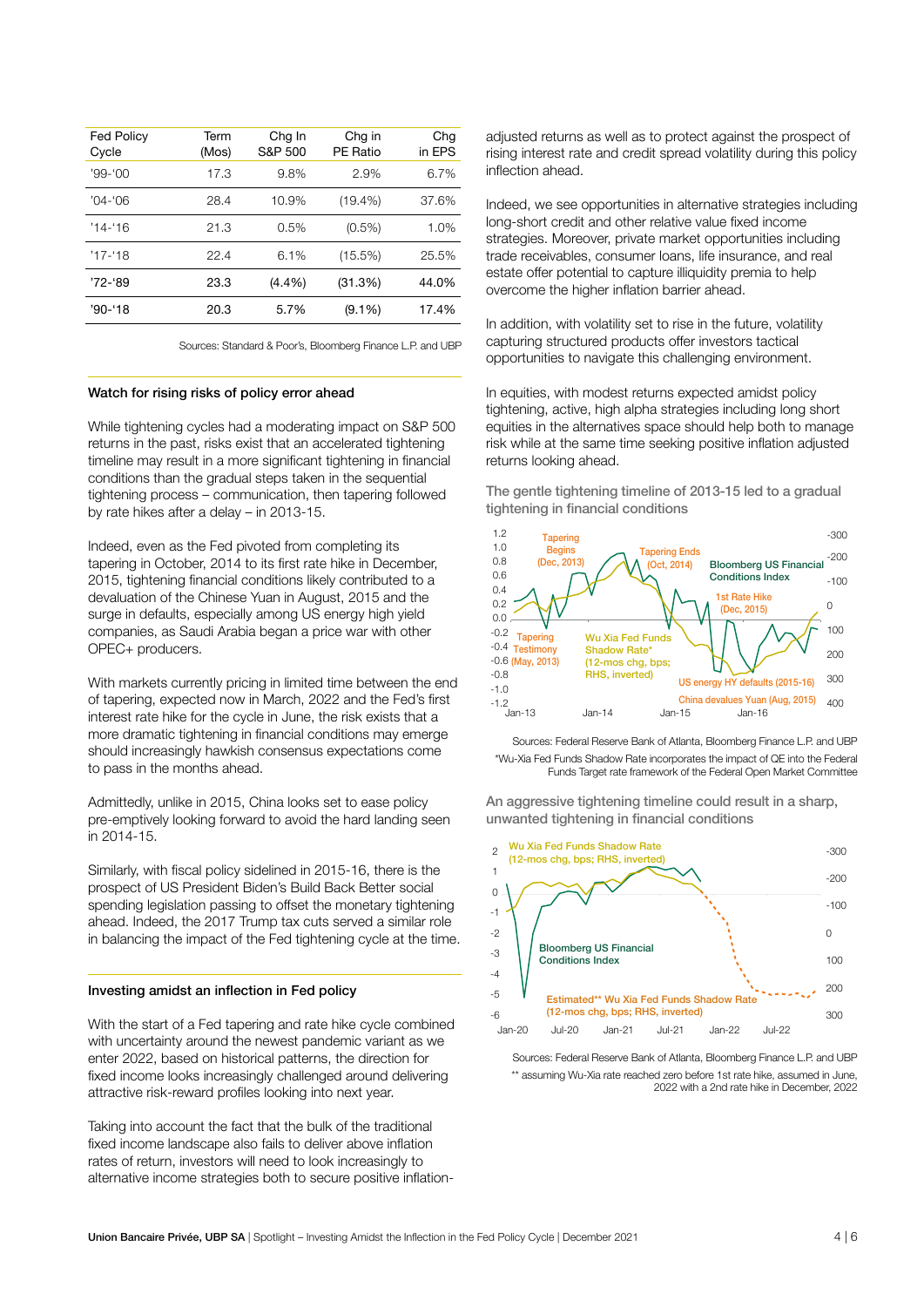| <b>Fed Policy</b><br>Cycle | Term<br>(Mos) | Chg In<br>S&P 500 | Chg in<br><b>PE Ratio</b> | Chg<br>in EPS |
|----------------------------|---------------|-------------------|---------------------------|---------------|
| $'99-'00$                  | 17.3          | 9.8%              | 2.9%                      | 6.7%          |
| $'04 - 06$                 | 28.4          | 10.9%             | $(19.4\%)$                | 37.6%         |
| $'14 - 16$                 | 21.3          | 0.5%              | $(0.5\%)$                 | 1.0%          |
| $'17 - 18$                 | 22.4          | 6.1%              | (15.5%)                   | 25.5%         |
| '72-'89                    | 23.3          | $(4.4\%)$         | (31.3%)                   | 44.0%         |
| '90-'18                    | 20.3          | 5.7%              | $(9.1\%)$                 | 17.4%         |

Sources: Standard & Poor's, Bloomberg Finance L.P. and UBP

#### Watch for rising risks of policy error ahead

While tightening cycles had a moderating impact on S&P 500 returns in the past, risks exist that an accelerated tightening timeline may result in a more significant tightening in financial conditions than the gradual steps taken in the sequential tightening process – communication, then tapering followed by rate hikes after a delay – in 2013-15.

Indeed, even as the Fed pivoted from completing its tapering in October, 2014 to its first rate hike in December, 2015, tightening financial conditions likely contributed to a devaluation of the Chinese Yuan in August, 2015 and the surge in defaults, especially among US energy high yield companies, as Saudi Arabia began a price war with other OPEC+ producers.

With markets currently pricing in limited time between the end of tapering, expected now in March, 2022 and the Fed's first interest rate hike for the cycle in June, the risk exists that a more dramatic tightening in financial conditions may emerge should increasingly hawkish consensus expectations come to pass in the months ahead.

Admittedly, unlike in 2015, China looks set to ease policy pre-emptively looking forward to avoid the hard landing seen in 2014-15.

Similarly, with fiscal policy sidelined in 2015-16, there is the prospect of US President Biden's Build Back Better social spending legislation passing to offset the monetary tightening ahead. Indeed, the 2017 Trump tax cuts served a similar role in balancing the impact of the Fed tightening cycle at the time.

### Investing amidst an inflection in Fed policy

With the start of a Fed tapering and rate hike cycle combined with uncertainty around the newest pandemic variant as we enter 2022, based on historical patterns, the direction for fixed income looks increasingly challenged around delivering attractive risk-reward profiles looking into next year.

Taking into account the fact that the bulk of the traditional fixed income landscape also fails to deliver above inflation rates of return, investors will need to look increasingly to alternative income strategies both to secure positive inflationadjusted returns as well as to protect against the prospect of rising interest rate and credit spread volatility during this policy inflection ahead.

Indeed, we see opportunities in alternative strategies including long-short credit and other relative value fixed income strategies. Moreover, private market opportunities including trade receivables, consumer loans, life insurance, and real estate offer potential to capture illiquidity premia to help overcome the higher inflation barrier ahead.

In addition, with volatility set to rise in the future, volatility capturing structured products offer investors tactical opportunities to navigate this challenging environment.

In equities, with modest returns expected amidst policy tightening, active, high alpha strategies including long short equities in the alternatives space should help both to manage risk while at the same time seeking positive inflation adjusted returns looking ahead.

The gentle tightening timeline of 2013-15 led to a gradual tightening in financial conditions



Sources: Federal Reserve Bank of Atlanta, Bloomberg Finance L.P. and UBP \*Wu-Xia Fed Funds Shadow Rate incorporates the impact of QE into the Federal Funds Target rate framework of the Federal Open Market Committee

An aggressive tightening timeline could result in a sharp, unwanted tightening in financial conditions



Sources: Federal Reserve Bank of Atlanta, Bloomberg Finance L.P. and UBP \*\* assuming Wu-Xia rate reached zero before 1st rate hike, assumed in June, 2022 with a 2nd rate hike in December, 2022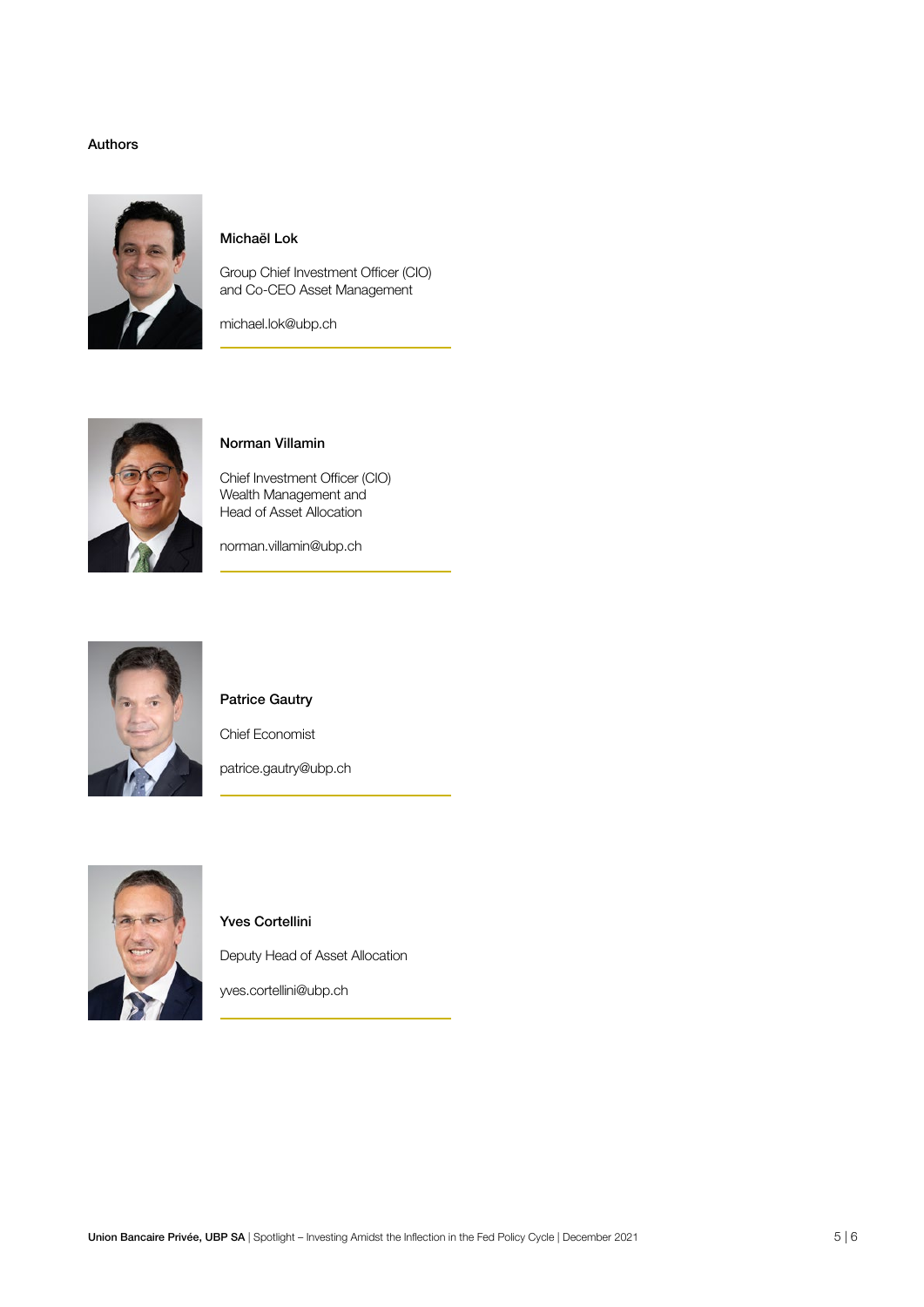### Authors



## Michaël Lok

Group Chief Investment Officer (CIO) and Co-CEO Asset Management

michael.lok@ubp.ch



## Norman Villamin

Chief Investment Officer (CIO) Wealth Management and Head of Asset Allocation

norman.villamin@ubp.ch



## Patrice Gautry

Chief Economist

patrice.gautry@ubp.ch



### Yves Cortellini

Deputy Head of Asset Allocation

yves.cortellini@ubp.ch